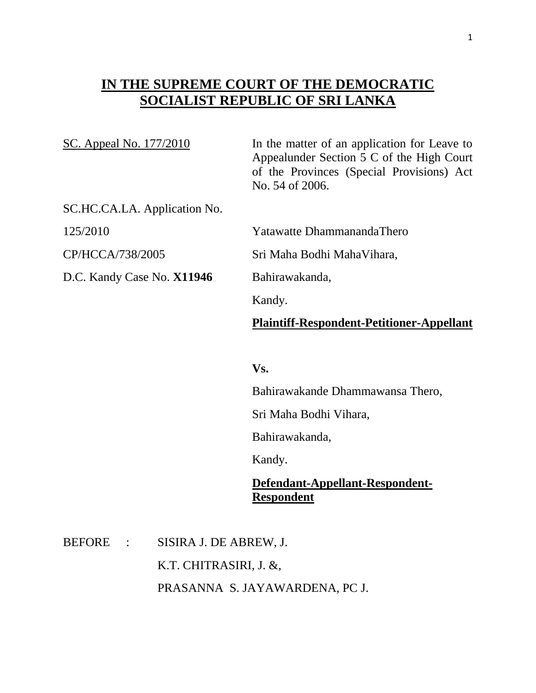## **IN THE SUPREME COURT OF THE DEMOCRATIC SOCIALIST REPUBLIC OF SRI LANKA**

| SC. Appeal No. 177/2010      | In the matter of an application for Leave to<br>Appealunder Section 5 C of the High Court<br>of the Provinces (Special Provisions) Act<br>No. 54 of 2006. |
|------------------------------|-----------------------------------------------------------------------------------------------------------------------------------------------------------|
| SC.HC.CA.LA. Application No. |                                                                                                                                                           |
| 125/2010                     | Yatawatte DhammanandaThero                                                                                                                                |
| CP/HCCA/738/2005             | Sri Maha Bodhi MahaVihara,                                                                                                                                |
| D.C. Kandy Case No. X11946   | Bahirawakanda,                                                                                                                                            |
|                              | Kandy.                                                                                                                                                    |
|                              | <b>Plaintiff-Respondent-Petitioner-Appellant</b>                                                                                                          |
|                              |                                                                                                                                                           |
|                              | Vs.                                                                                                                                                       |
|                              | Bahirawakande Dhammawansa Thero,                                                                                                                          |
|                              | Sri Maha Bodhi Vihara,                                                                                                                                    |

Bahirawakanda,

Kandy.

## **Defendant-Appellant-Respondent-Respondent**

BEFORE : SISIRA J. DE ABREW, J. K.T. CHITRASIRI, J. &, PRASANNA S. JAYAWARDENA, PC J.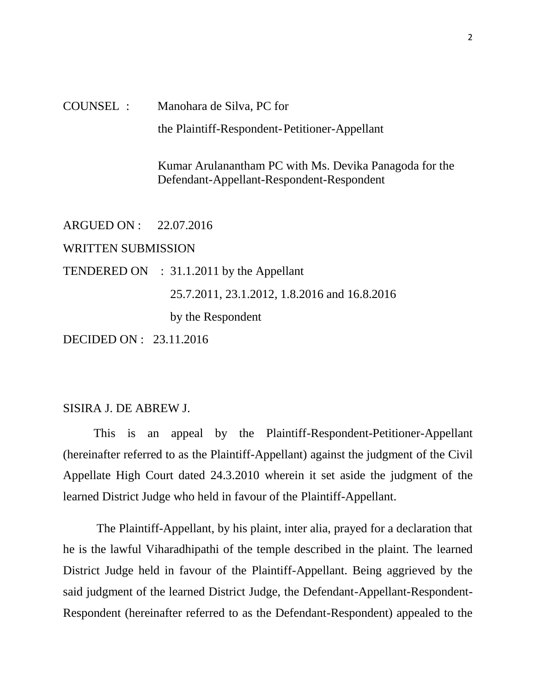## COUNSEL : Manohara de Silva, PC for the Plaintiff-Respondent-Petitioner-Appellant

 Kumar Arulanantham PC with Ms. Devika Panagoda for the Defendant-Appellant-Respondent-Respondent

ARGUED ON : 22.07.2016 WRITTEN SUBMISSION TENDERED ON : 31.1.2011 by the Appellant 25.7.2011, 23.1.2012, 1.8.2016 and 16.8.2016 by the Respondent DECIDED ON : 23.11.2016

## SISIRA J. DE ABREW J.

 This is an appeal by the Plaintiff-Respondent-Petitioner-Appellant (hereinafter referred to as the Plaintiff-Appellant) against the judgment of the Civil Appellate High Court dated 24.3.2010 wherein it set aside the judgment of the learned District Judge who held in favour of the Plaintiff-Appellant.

 The Plaintiff-Appellant, by his plaint, inter alia, prayed for a declaration that he is the lawful Viharadhipathi of the temple described in the plaint. The learned District Judge held in favour of the Plaintiff-Appellant. Being aggrieved by the said judgment of the learned District Judge, the Defendant-Appellant-Respondent-Respondent (hereinafter referred to as the Defendant-Respondent) appealed to the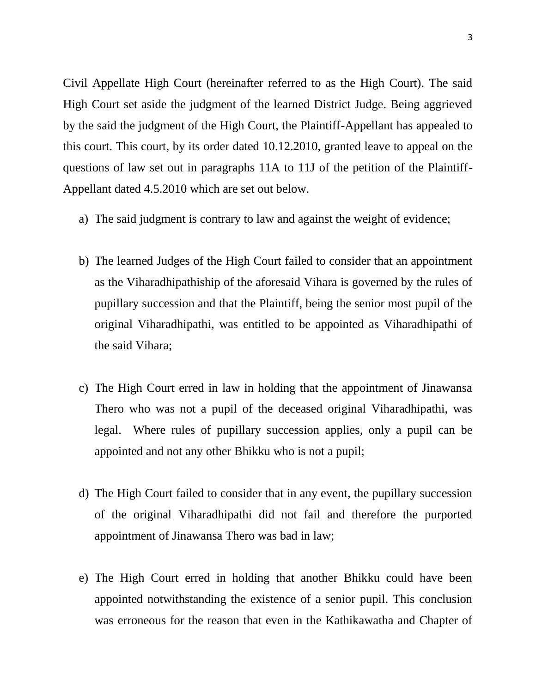Civil Appellate High Court (hereinafter referred to as the High Court). The said High Court set aside the judgment of the learned District Judge. Being aggrieved by the said the judgment of the High Court, the Plaintiff-Appellant has appealed to this court. This court, by its order dated 10.12.2010, granted leave to appeal on the questions of law set out in paragraphs 11A to 11J of the petition of the Plaintiff-Appellant dated 4.5.2010 which are set out below.

- a) The said judgment is contrary to law and against the weight of evidence;
- b) The learned Judges of the High Court failed to consider that an appointment as the Viharadhipathiship of the aforesaid Vihara is governed by the rules of pupillary succession and that the Plaintiff, being the senior most pupil of the original Viharadhipathi, was entitled to be appointed as Viharadhipathi of the said Vihara;
- c) The High Court erred in law in holding that the appointment of Jinawansa Thero who was not a pupil of the deceased original Viharadhipathi, was legal. Where rules of pupillary succession applies, only a pupil can be appointed and not any other Bhikku who is not a pupil;
- d) The High Court failed to consider that in any event, the pupillary succession of the original Viharadhipathi did not fail and therefore the purported appointment of Jinawansa Thero was bad in law;
- e) The High Court erred in holding that another Bhikku could have been appointed notwithstanding the existence of a senior pupil. This conclusion was erroneous for the reason that even in the Kathikawatha and Chapter of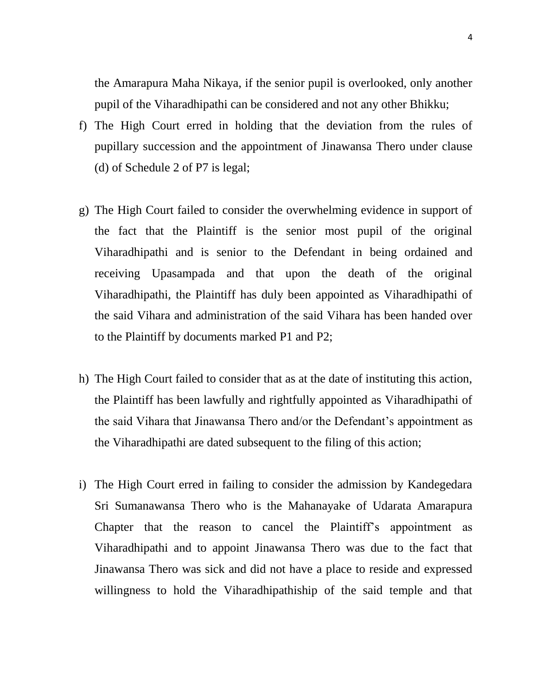the Amarapura Maha Nikaya, if the senior pupil is overlooked, only another pupil of the Viharadhipathi can be considered and not any other Bhikku;

- f) The High Court erred in holding that the deviation from the rules of pupillary succession and the appointment of Jinawansa Thero under clause (d) of Schedule 2 of P7 is legal;
- g) The High Court failed to consider the overwhelming evidence in support of the fact that the Plaintiff is the senior most pupil of the original Viharadhipathi and is senior to the Defendant in being ordained and receiving Upasampada and that upon the death of the original Viharadhipathi, the Plaintiff has duly been appointed as Viharadhipathi of the said Vihara and administration of the said Vihara has been handed over to the Plaintiff by documents marked P1 and P2;
- h) The High Court failed to consider that as at the date of instituting this action, the Plaintiff has been lawfully and rightfully appointed as Viharadhipathi of the said Vihara that Jinawansa Thero and/or the Defendant's appointment as the Viharadhipathi are dated subsequent to the filing of this action;
- i) The High Court erred in failing to consider the admission by Kandegedara Sri Sumanawansa Thero who is the Mahanayake of Udarata Amarapura Chapter that the reason to cancel the Plaintiff's appointment as Viharadhipathi and to appoint Jinawansa Thero was due to the fact that Jinawansa Thero was sick and did not have a place to reside and expressed willingness to hold the Viharadhipathiship of the said temple and that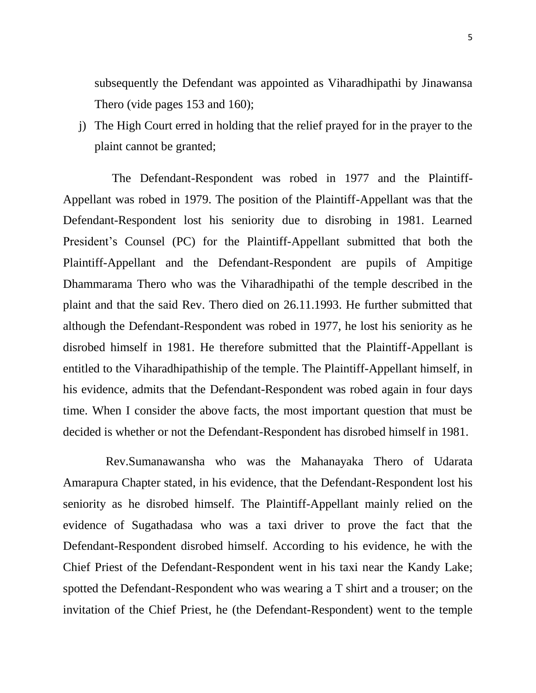subsequently the Defendant was appointed as Viharadhipathi by Jinawansa Thero (vide pages 153 and 160);

j) The High Court erred in holding that the relief prayed for in the prayer to the plaint cannot be granted;

 The Defendant-Respondent was robed in 1977 and the Plaintiff-Appellant was robed in 1979. The position of the Plaintiff-Appellant was that the Defendant-Respondent lost his seniority due to disrobing in 1981. Learned President's Counsel (PC) for the Plaintiff-Appellant submitted that both the Plaintiff-Appellant and the Defendant-Respondent are pupils of Ampitige Dhammarama Thero who was the Viharadhipathi of the temple described in the plaint and that the said Rev. Thero died on 26.11.1993. He further submitted that although the Defendant-Respondent was robed in 1977, he lost his seniority as he disrobed himself in 1981. He therefore submitted that the Plaintiff-Appellant is entitled to the Viharadhipathiship of the temple. The Plaintiff-Appellant himself, in his evidence, admits that the Defendant-Respondent was robed again in four days time. When I consider the above facts, the most important question that must be decided is whether or not the Defendant-Respondent has disrobed himself in 1981.

 Rev.Sumanawansha who was the Mahanayaka Thero of Udarata Amarapura Chapter stated, in his evidence, that the Defendant-Respondent lost his seniority as he disrobed himself. The Plaintiff-Appellant mainly relied on the evidence of Sugathadasa who was a taxi driver to prove the fact that the Defendant-Respondent disrobed himself. According to his evidence, he with the Chief Priest of the Defendant-Respondent went in his taxi near the Kandy Lake; spotted the Defendant-Respondent who was wearing a T shirt and a trouser; on the invitation of the Chief Priest, he (the Defendant-Respondent) went to the temple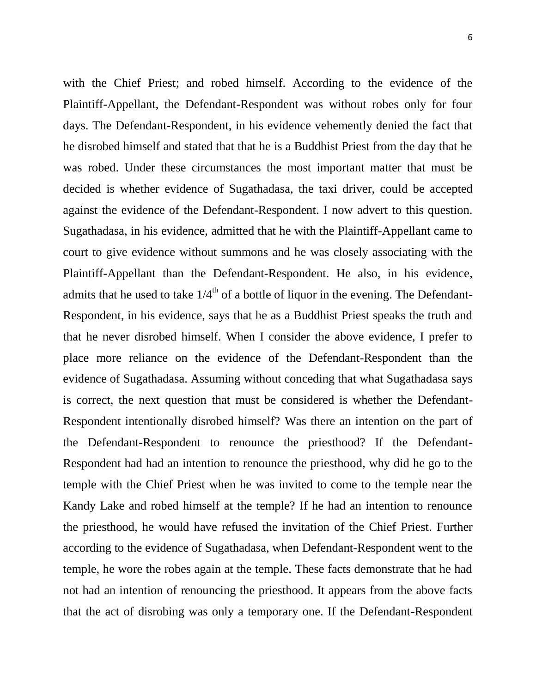with the Chief Priest; and robed himself. According to the evidence of the Plaintiff-Appellant, the Defendant-Respondent was without robes only for four days. The Defendant-Respondent, in his evidence vehemently denied the fact that he disrobed himself and stated that that he is a Buddhist Priest from the day that he was robed. Under these circumstances the most important matter that must be decided is whether evidence of Sugathadasa, the taxi driver, could be accepted against the evidence of the Defendant-Respondent. I now advert to this question. Sugathadasa, in his evidence, admitted that he with the Plaintiff-Appellant came to court to give evidence without summons and he was closely associating with the Plaintiff-Appellant than the Defendant-Respondent. He also, in his evidence, admits that he used to take  $1/4<sup>th</sup>$  of a bottle of liquor in the evening. The Defendant-Respondent, in his evidence, says that he as a Buddhist Priest speaks the truth and that he never disrobed himself. When I consider the above evidence, I prefer to place more reliance on the evidence of the Defendant-Respondent than the evidence of Sugathadasa. Assuming without conceding that what Sugathadasa says is correct, the next question that must be considered is whether the Defendant-Respondent intentionally disrobed himself? Was there an intention on the part of the Defendant-Respondent to renounce the priesthood? If the Defendant-Respondent had had an intention to renounce the priesthood, why did he go to the temple with the Chief Priest when he was invited to come to the temple near the Kandy Lake and robed himself at the temple? If he had an intention to renounce the priesthood, he would have refused the invitation of the Chief Priest. Further according to the evidence of Sugathadasa, when Defendant-Respondent went to the temple, he wore the robes again at the temple. These facts demonstrate that he had not had an intention of renouncing the priesthood. It appears from the above facts that the act of disrobing was only a temporary one. If the Defendant-Respondent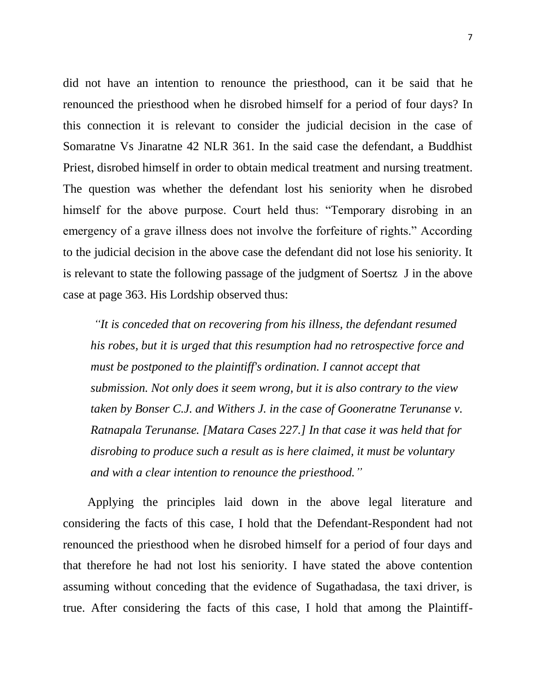did not have an intention to renounce the priesthood, can it be said that he renounced the priesthood when he disrobed himself for a period of four days? In this connection it is relevant to consider the judicial decision in the case of Somaratne Vs Jinaratne 42 NLR 361. In the said case the defendant, a Buddhist Priest, disrobed himself in order to obtain medical treatment and nursing treatment. The question was whether the defendant lost his seniority when he disrobed himself for the above purpose. Court held thus: "Temporary disrobing in an emergency of a grave illness does not involve the forfeiture of rights." According to the judicial decision in the above case the defendant did not lose his seniority. It is relevant to state the following passage of the judgment of Soertsz J in the above case at page 363. His Lordship observed thus:

*"It is conceded that on recovering from his illness, the defendant resumed his robes, but it is urged that this resumption had no retrospective force and must be postponed to the plaintiff's ordination. I cannot accept that submission. Not only does it seem wrong, but it is also contrary to the view taken by Bonser C.J. and Withers J. in the case of Gooneratne Terunanse v. Ratnapala Terunanse. [Matara Cases 227.] In that case it was held that for disrobing to produce such a result as is here claimed, it must be voluntary and with a clear intention to renounce the priesthood."*

 Applying the principles laid down in the above legal literature and considering the facts of this case, I hold that the Defendant-Respondent had not renounced the priesthood when he disrobed himself for a period of four days and that therefore he had not lost his seniority. I have stated the above contention assuming without conceding that the evidence of Sugathadasa, the taxi driver, is true. After considering the facts of this case, I hold that among the Plaintiff